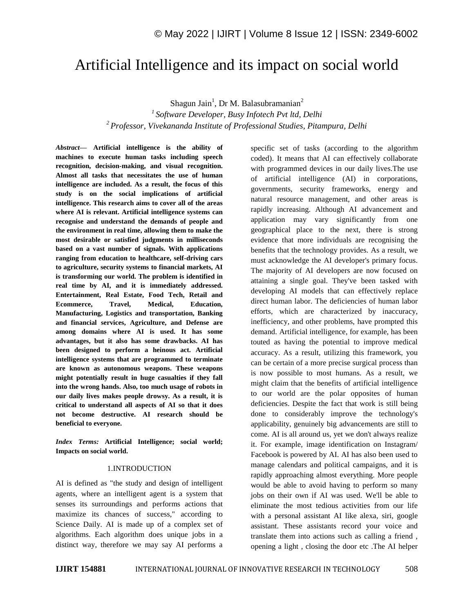# Artificial Intelligence and its impact on social world

Shagun Jain<sup>1</sup>, Dr M. Balasubramanian<sup>2</sup>

*<sup>1</sup>Software Developer, Busy Infotech Pvt ltd, Delhi <sup>2</sup>Professor, Vivekananda Institute of Professional Studies, Pitampura, Delhi* 

*Abstract—* **Artificial intelligence is the ability of machines to execute human tasks including speech recognition, decision-making, and visual recognition. Almost all tasks that necessitates the use of human intelligence are included. As a result, the focus of this study is on the social implications of artificial intelligence. This research aims to cover all of the areas where AI is relevant. Artificial intelligence systems can recognise and understand the demands of people and the environment in real time, allowing them to make the most desirable or satisfied judgments in milliseconds based on a vast number of signals. With applications ranging from education to healthcare, self-driving cars to agriculture, security systems to financial markets, AI is transforming our world. The problem is identified in real time by AI, and it is immediately addressed. Entertainment, Real Estate, Food Tech, Retail and Ecommerce, Travel, Medical, Education, Manufacturing, Logistics and transportation, Banking and financial services, Agriculture, and Defense are among domains where AI is used. It has some advantages, but it also has some drawbacks. AI has been designed to perform a heinous act. Artificial intelligence systems that are programmed to terminate are known as autonomous weapons. These weapons might potentially result in huge casualties if they fall into the wrong hands. Also, too much usage of robots in our daily lives makes people drowsy. As a result, it is critical to understand all aspects of AI so that it does not become destructive. AI research should be beneficial to everyone.**

*Index Terms:* **Artificial Intelligence; social world; Impacts on social world.**

#### 1.INTRODUCTION

AI is defined as "the study and design of intelligent agents, where an intelligent agent is a system that senses its surroundings and performs actions that maximize its chances of success," according to Science Daily. AI is made up of a complex set of algorithms. Each algorithm does unique jobs in a distinct way, therefore we may say AI performs a

specific set of tasks (according to the algorithm coded). It means that AI can effectively collaborate with programmed devices in our daily lives.The use of artificial intelligence (AI) in corporations, governments, security frameworks, energy and natural resource management, and other areas is rapidly increasing. Although AI advancement and application may vary significantly from one geographical place to the next, there is strong evidence that more individuals are recognising the benefits that the technology provides. As a result, we must acknowledge the AI developer's primary focus. The majority of AI developers are now focused on attaining a single goal. They've been tasked with developing AI models that can effectively replace direct human labor. The deficiencies of human labor efforts, which are characterized by inaccuracy, inefficiency, and other problems, have prompted this demand. Artificial intelligence, for example, has been touted as having the potential to improve medical accuracy. As a result, utilizing this framework, you can be certain of a more precise surgical process than is now possible to most humans. As a result, we might claim that the benefits of artificial intelligence to our world are the polar opposites of human deficiencies. Despite the fact that work is still being done to considerably improve the technology's applicability, genuinely big advancements are still to come. AI is all around us, yet we don't always realize it. For example, image identification on Instagram/ Facebook is powered by AI. AI has also been used to manage calendars and political campaigns, and it is rapidly approaching almost everything. More people would be able to avoid having to perform so many jobs on their own if AI was used. We'll be able to eliminate the most tedious activities from our life with a personal assistant AI like alexa, siri, google assistant. These assistants record your voice and translate them into actions such as calling a friend , opening a light , closing the door etc .The AI helper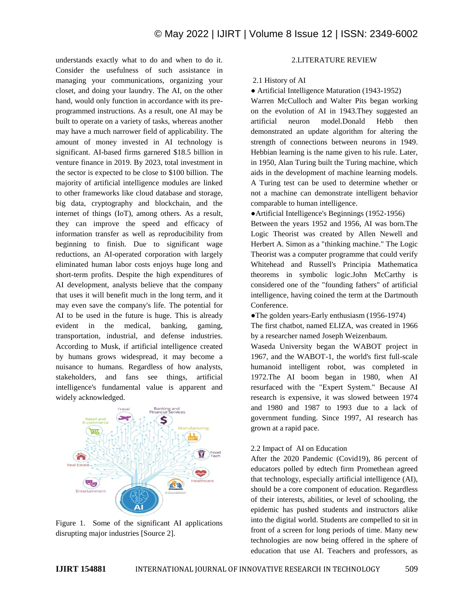understands exactly what to do and when to do it. Consider the usefulness of such assistance in managing your communications, organizing your closet, and doing your laundry. The AI, on the other hand, would only function in accordance with its preprogrammed instructions. As a result, one AI may be built to operate on a variety of tasks, whereas another may have a much narrower field of applicability. The amount of money invested in AI technology is significant. AI-based firms garnered \$18.5 billion in venture finance in 2019. By 2023, total investment in the sector is expected to be close to \$100 billion. The majority of artificial intelligence modules are linked to other frameworks like cloud database and storage, big data, cryptography and blockchain, and the internet of things (IoT), among others. As a result, they can improve the speed and efficacy of information transfer as well as reproducibility from beginning to finish. Due to significant wage reductions, an AI-operated corporation with largely eliminated human labor costs enjoys huge long and short-term profits. Despite the high expenditures of AI development, analysts believe that the company that uses it will benefit much in the long term, and it may even save the company's life. The potential for AI to be used in the future is huge. This is already evident in the medical, banking, gaming, transportation, industrial, and defense industries. According to Musk, if artificial intelligence created by humans grows widespread, it may become a nuisance to humans. Regardless of how analysts, stakeholders, and fans see things, artificial intelligence's fundamental value is apparent and widely acknowledged.



Figure 1. Some of the significant AI applications disrupting major industries [Source 2].

## 2.LITERATURE REVIEW

#### 2.1 History of AI

#### ● Artificial Intelligence Maturation (1943-1952)

Warren McCulloch and Walter Pits began working on the evolution of AI in 1943.They suggested an artificial neuron model.Donald Hebb then demonstrated an update algorithm for altering the strength of connections between neurons in 1949. Hebbian learning is the name given to his rule. Later, in 1950, Alan Turing built the Turing machine, which aids in the development of machine learning models. A Turing test can be used to determine whether or not a machine can demonstrate intelligent behavior comparable to human intelligence.

●Artificial Intelligence's Beginnings (1952-1956)

Between the years 1952 and 1956, AI was born.The Logic Theorist was created by Allen Newell and Herbert A. Simon as a "thinking machine." The Logic Theorist was a computer programme that could verify Whitehead and Russell's Principia Mathematica theorems in symbolic logic.John McCarthy is considered one of the "founding fathers" of artificial intelligence, having coined the term at the Dartmouth Conference.

●The golden years-Early enthusiasm (1956-1974)

The first chatbot, named ELIZA, was created in 1966 by a researcher named Joseph Weizenbaum.

Waseda University began the WABOT project in 1967, and the WABOT-1, the world's first full-scale humanoid intelligent robot, was completed in 1972.The AI boom began in 1980, when AI resurfaced with the "Expert System." Because AI research is expensive, it was slowed between 1974 and 1980 and 1987 to 1993 due to a lack of government funding. Since 1997, AI research has grown at a rapid pace.

#### 2.2 Impact of AI on Education

After the 2020 Pandemic (Covid19), 86 percent of educators polled by edtech firm Promethean agreed that technology, especially artificial intelligence (AI), should be a core component of education. Regardless of their interests, abilities, or level of schooling, the epidemic has pushed students and instructors alike into the digital world. Students are compelled to sit in front of a screen for long periods of time. Many new technologies are now being offered in the sphere of education that use AI. Teachers and professors, as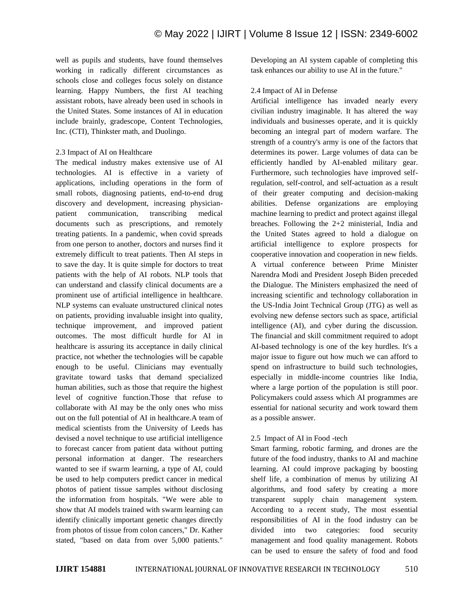well as pupils and students, have found themselves working in radically different circumstances as schools close and colleges focus solely on distance learning. Happy Numbers, the first AI teaching assistant robots, have already been used in schools in the United States. Some instances of AI in education include brainly, gradescope, Content Technologies, Inc. (CTI), Thinkster math, and Duolingo.

## 2.3 Impact of AI on Healthcare

The medical industry makes extensive use of AI technologies. AI is effective in a variety of applications, including operations in the form of small robots, diagnosing patients, end-to-end drug discovery and development, increasing physicianpatient communication, transcribing medical documents such as prescriptions, and remotely treating patients. In a pandemic, when covid spreads from one person to another, doctors and nurses find it extremely difficult to treat patients. Then AI steps in to save the day. It is quite simple for doctors to treat patients with the help of AI robots. NLP tools that can understand and classify clinical documents are a prominent use of artificial intelligence in healthcare. NLP systems can evaluate unstructured clinical notes on patients, providing invaluable insight into quality, technique improvement, and improved patient outcomes. The most difficult hurdle for AI in healthcare is assuring its acceptance in daily clinical practice, not whether the technologies will be capable enough to be useful. Clinicians may eventually gravitate toward tasks that demand specialized human abilities, such as those that require the highest level of cognitive function.Those that refuse to collaborate with AI may be the only ones who miss out on the full potential of AI in healthcare.A team of medical scientists from the University of Leeds has devised a novel technique to use artificial intelligence to forecast cancer from patient data without putting personal information at danger. The researchers wanted to see if swarm learning, a type of AI, could be used to help computers predict cancer in medical photos of patient tissue samples without disclosing the information from hospitals. "We were able to show that AI models trained with swarm learning can identify clinically important genetic changes directly from photos of tissue from colon cancers," Dr. Kather stated, "based on data from over 5,000 patients."

Developing an AI system capable of completing this task enhances our ability to use AI in the future."

## 2.4 Impact of AI in Defense

Artificial intelligence has invaded nearly every civilian industry imaginable. It has altered the way individuals and businesses operate, and it is quickly becoming an integral part of modern warfare. The strength of a country's army is one of the factors that determines its power. Large volumes of data can be efficiently handled by AI-enabled military gear. Furthermore, such technologies have improved selfregulation, self-control, and self-actuation as a result of their greater computing and decision-making abilities. Defense organizations are employing machine learning to predict and protect against illegal breaches. Following the 2+2 ministerial, India and the United States agreed to hold a dialogue on artificial intelligence to explore prospects for cooperative innovation and cooperation in new fields. A virtual conference between Prime Minister Narendra Modi and President Joseph Biden preceded the Dialogue. The Ministers emphasized the need of increasing scientific and technology collaboration in the US-India Joint Technical Group (JTG) as well as evolving new defense sectors such as space, artificial intelligence (AI), and cyber during the discussion. The financial and skill commitment required to adopt AI-based technology is one of the key hurdles. It's a major issue to figure out how much we can afford to spend on infrastructure to build such technologies, especially in middle-income countries like India, where a large portion of the population is still poor. Policymakers could assess which AI programmes are essential for national security and work toward them as a possible answer.

## 2.5 Impact of AI in Food -tech

Smart farming, robotic farming, and drones are the future of the food industry, thanks to AI and machine learning. AI could improve packaging by boosting shelf life, a combination of menus by utilizing AI algorithms, and food safety by creating a more transparent supply chain management system. According to a recent study, The most essential responsibilities of AI in the food industry can be divided into two categories: food security management and food quality management. Robots can be used to ensure the safety of food and food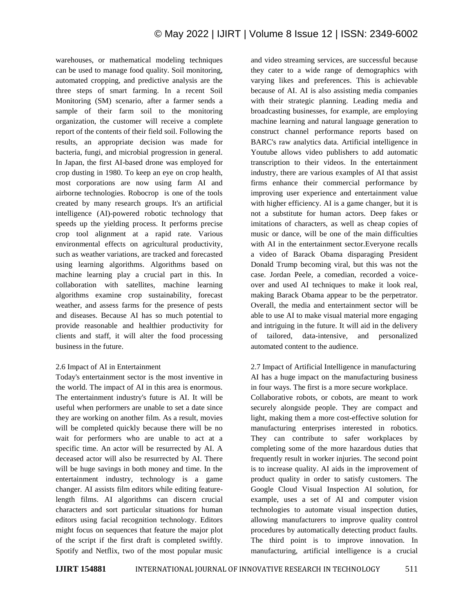warehouses, or mathematical modeling techniques can be used to manage food quality. Soil monitoring, automated cropping, and predictive analysis are the three steps of smart farming. In a recent Soil Monitoring (SM) scenario, after a farmer sends a sample of their farm soil to the monitoring organization, the customer will receive a complete report of the contents of their field soil. Following the results, an appropriate decision was made for bacteria, fungi, and microbial progression in general. In Japan, the first AI-based drone was employed for crop dusting in 1980. To keep an eye on crop health, most corporations are now using farm AI and airborne technologies. Robocrop is one of the tools created by many research groups. It's an artificial intelligence (AI)-powered robotic technology that speeds up the yielding process. It performs precise crop tool alignment at a rapid rate. Various environmental effects on agricultural productivity, such as weather variations, are tracked and forecasted using learning algorithms. Algorithms based on machine learning play a crucial part in this. In collaboration with satellites, machine learning algorithms examine crop sustainability, forecast weather, and assess farms for the presence of pests and diseases. Because AI has so much potential to provide reasonable and healthier productivity for clients and staff, it will alter the food processing business in the future.

## 2.6 Impact of AI in Entertainment

Today's entertainment sector is the most inventive in the world. The impact of AI in this area is enormous. The entertainment industry's future is AI. It will be useful when performers are unable to set a date since they are working on another film. As a result, movies will be completed quickly because there will be no wait for performers who are unable to act at a specific time. An actor will be resurrected by AI. A deceased actor will also be resurrected by AI. There will be huge savings in both money and time. In the entertainment industry, technology is a game changer. AI assists film editors while editing featurelength films. AI algorithms can discern crucial characters and sort particular situations for human editors using facial recognition technology. Editors might focus on sequences that feature the major plot of the script if the first draft is completed swiftly. Spotify and Netflix, two of the most popular music and video streaming services, are successful because they cater to a wide range of demographics with varying likes and preferences. This is achievable because of AI. AI is also assisting media companies with their strategic planning. Leading media and broadcasting businesses, for example, are employing machine learning and natural language generation to construct channel performance reports based on BARC's raw analytics data. Artificial intelligence in Youtube allows video publishers to add automatic transcription to their videos. In the entertainment industry, there are various examples of AI that assist firms enhance their commercial performance by improving user experience and entertainment value with higher efficiency. AI is a game changer, but it is not a substitute for human actors. Deep fakes or imitations of characters, as well as cheap copies of music or dance, will be one of the main difficulties with AI in the entertainment sector.Everyone recalls a video of Barack Obama disparaging President Donald Trump becoming viral, but this was not the case. Jordan Peele, a comedian, recorded a voiceover and used AI techniques to make it look real, making Barack Obama appear to be the perpetrator. Overall, the media and entertainment sector will be able to use AI to make visual material more engaging and intriguing in the future. It will aid in the delivery of tailored, data-intensive, and personalized automated content to the audience.

# 2.7 Impact of Artificial Intelligence in manufacturing AI has a huge impact on the manufacturing business in four ways. The first is a more secure workplace.

Collaborative robots, or cobots, are meant to work securely alongside people. They are compact and light, making them a more cost-effective solution for manufacturing enterprises interested in robotics. They can contribute to safer workplaces by completing some of the more hazardous duties that frequently result in worker injuries. The second point is to increase quality. AI aids in the improvement of product quality in order to satisfy customers. The Google Cloud Visual Inspection AI solution, for example, uses a set of AI and computer vision technologies to automate visual inspection duties, allowing manufacturers to improve quality control procedures by automatically detecting product faults. The third point is to improve innovation. In manufacturing, artificial intelligence is a crucial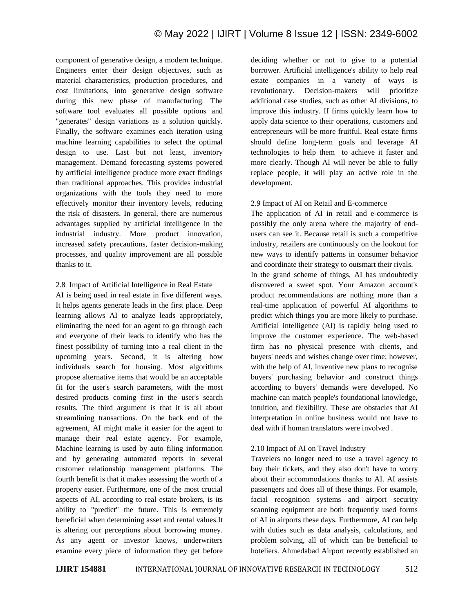component of generative design, a modern technique. Engineers enter their design objectives, such as material characteristics, production procedures, and cost limitations, into generative design software during this new phase of manufacturing. The software tool evaluates all possible options and "generates" design variations as a solution quickly. Finally, the software examines each iteration using machine learning capabilities to select the optimal design to use. Last but not least, inventory management. Demand forecasting systems powered by artificial intelligence produce more exact findings than traditional approaches. This provides industrial organizations with the tools they need to more effectively monitor their inventory levels, reducing the risk of disasters. In general, there are numerous advantages supplied by artificial intelligence in the industrial industry. More product innovation, increased safety precautions, faster decision-making processes, and quality improvement are all possible thanks to it.

2.8 Impact of Artificial Intelligence in Real Estate

AI is being used in real estate in five different ways. It helps agents generate leads in the first place. Deep learning allows AI to analyze leads appropriately, eliminating the need for an agent to go through each and everyone of their leads to identify who has the finest possibility of turning into a real client in the upcoming years. Second, it is altering how individuals search for housing. Most algorithms propose alternative items that would be an acceptable fit for the user's search parameters, with the most desired products coming first in the user's search results. The third argument is that it is all about streamlining transactions. On the back end of the agreement, AI might make it easier for the agent to manage their real estate agency. For example, Machine learning is used by auto filing information and by generating automated reports in several customer relationship management platforms. The fourth benefit is that it makes assessing the worth of a property easier. Furthermore, one of the most crucial aspects of AI, according to real estate brokers, is its ability to "predict" the future. This is extremely beneficial when determining asset and rental values.It is altering our perceptions about borrowing money. As any agent or investor knows, underwriters examine every piece of information they get before

deciding whether or not to give to a potential borrower. Artificial intelligence's ability to help real estate companies in a variety of ways is revolutionary. Decision-makers will prioritize additional case studies, such as other AI divisions, to improve this industry. If firms quickly learn how to apply data science to their operations, customers and entrepreneurs will be more fruitful. Real estate firms should define long-term goals and leverage AI technologies to help them to achieve it faster and more clearly. Though AI will never be able to fully replace people, it will play an active role in the development.

2.9 Impact of AI on Retail and E-commerce

The application of AI in retail and e-commerce is possibly the only arena where the majority of endusers can see it. Because retail is such a competitive industry, retailers are continuously on the lookout for new ways to identify patterns in consumer behavior and coordinate their strategy to outsmart their rivals. In the grand scheme of things, AI has undoubtedly discovered a sweet spot. Your Amazon account's product recommendations are nothing more than a real-time application of powerful AI algorithms to predict which things you are more likely to purchase. Artificial intelligence (AI) is rapidly being used to improve the customer experience. The web-based firm has no physical presence with clients, and buyers' needs and wishes change over time; however, with the help of AI, inventive new plans to recognise buyers' purchasing behavior and construct things according to buyers' demands were developed. No machine can match people's foundational knowledge, intuition, and flexibility. These are obstacles that AI interpretation in online business would not have to deal with if human translators were involved .

## 2.10 Impact of AI on Travel Industry

Travelers no longer need to use a travel agency to buy their tickets, and they also don't have to worry about their accommodations thanks to AI. AI assists passengers and does all of these things. For example, facial recognition systems and airport security scanning equipment are both frequently used forms of AI in airports these days. Furthermore, AI can help with duties such as data analysis, calculations, and problem solving, all of which can be beneficial to hoteliers. Ahmedabad Airport recently established an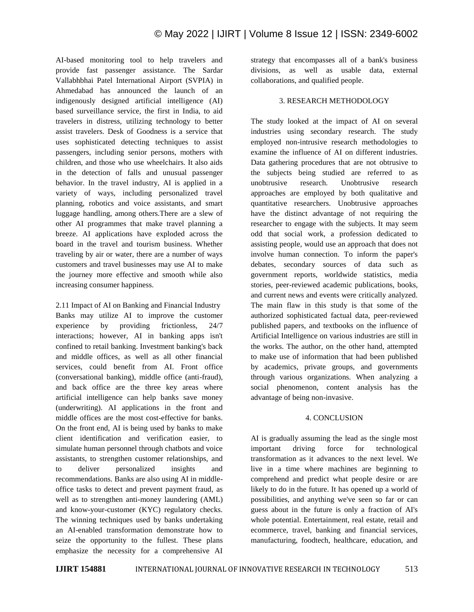AI-based monitoring tool to help travelers and provide fast passenger assistance. The Sardar Vallabhbhai Patel International Airport (SVPIA) in Ahmedabad has announced the launch of an indigenously designed artificial intelligence (AI) based surveillance service, the first in India, to aid travelers in distress, utilizing technology to better assist travelers. Desk of Goodness is a service that uses sophisticated detecting techniques to assist passengers, including senior persons, mothers with children, and those who use wheelchairs. It also aids in the detection of falls and unusual passenger behavior. In the travel industry, AI is applied in a variety of ways, including personalized travel planning, robotics and voice assistants, and smart luggage handling, among others.There are a slew of other AI programmes that make travel planning a breeze. AI applications have exploded across the board in the travel and tourism business. Whether traveling by air or water, there are a number of ways customers and travel businesses may use AI to make the journey more effective and smooth while also increasing consumer happiness.

2.11 Impact of AI on Banking and Financial Industry Banks may utilize AI to improve the customer experience by providing frictionless, 24/7 interactions; however, AI in banking apps isn't confined to retail banking. Investment banking's back and middle offices, as well as all other financial services, could benefit from AI. Front office (conversational banking), middle office (anti-fraud), and back office are the three key areas where artificial intelligence can help banks save money (underwriting). AI applications in the front and middle offices are the most cost-effective for banks. On the front end, AI is being used by banks to make client identification and verification easier, to simulate human personnel through chatbots and voice assistants, to strengthen customer relationships, and to deliver personalized insights and recommendations. Banks are also using AI in middleoffice tasks to detect and prevent payment fraud, as well as to strengthen anti-money laundering (AML) and know-your-customer (KYC) regulatory checks. The winning techniques used by banks undertaking an AI-enabled transformation demonstrate how to seize the opportunity to the fullest. These plans emphasize the necessity for a comprehensive AI strategy that encompasses all of a bank's business divisions, as well as usable data, external collaborations, and qualified people.

#### 3. RESEARCH METHODOLOGY

The study looked at the impact of AI on several industries using secondary research. The study employed non-intrusive research methodologies to examine the influence of AI on different industries. Data gathering procedures that are not obtrusive to the subjects being studied are referred to as unobtrusive research. Unobtrusive research approaches are employed by both qualitative and quantitative researchers. Unobtrusive approaches have the distinct advantage of not requiring the researcher to engage with the subjects. It may seem odd that social work, a profession dedicated to assisting people, would use an approach that does not involve human connection. To inform the paper's debates, secondary sources of data such as government reports, worldwide statistics, media stories, peer-reviewed academic publications, books, and current news and events were critically analyzed. The main flaw in this study is that some of the authorized sophisticated factual data, peer-reviewed published papers, and textbooks on the influence of Artificial Intelligence on various industries are still in the works. The author, on the other hand, attempted to make use of information that had been published by academics, private groups, and governments through various organizations. When analyzing a social phenomenon, content analysis has the advantage of being non-invasive.

#### 4. CONCLUSION

AI is gradually assuming the lead as the single most important driving force for technological transformation as it advances to the next level. We live in a time where machines are beginning to comprehend and predict what people desire or are likely to do in the future. It has opened up a world of possibilities, and anything we've seen so far or can guess about in the future is only a fraction of AI's whole potential. Entertainment, real estate, retail and ecommerce, travel, banking and financial services, manufacturing, foodtech, healthcare, education, and